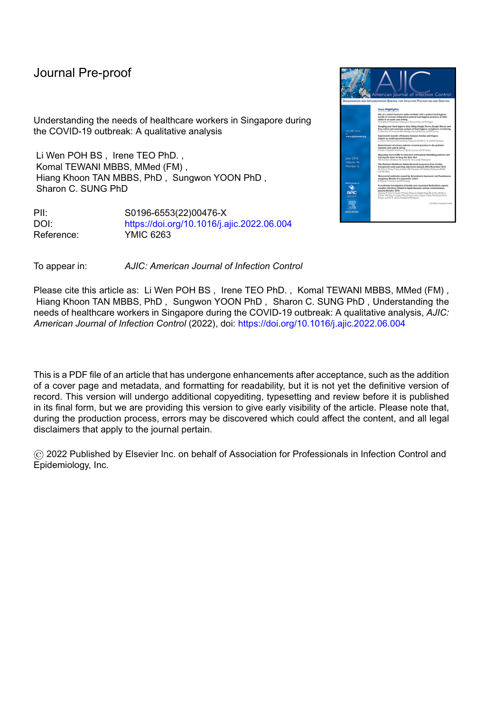Understanding the needs of healthcare workers in Singapore during the COVID-19 outbreak: A qualitative analysis

Li Wen POH BS , Irene TEO PhD. , Komal TEWANI MBBS, MMed (FM) , Hiang Khoon TAN MBBS, PhD , Sungwon YOON PhD , Sharon C. SUNG PhD

PII: S0196-6553(22)00476-X DOI: <https://doi.org/10.1016/j.ajic.2022.06.004> Reference: YMIC 6263



To appear in: *AJIC: American Journal of Infection Control*

Please cite this article as: Li Wen POH BS , Irene TEO PhD. , Komal TEWANI MBBS, MMed (FM) , Hiang Khoon TAN MBBS, PhD , Sungwon YOON PhD , Sharon C. SUNG PhD , Understanding the needs of healthcare workers in Singapore during the COVID-19 outbreak: A qualitative analysis, *AJIC: American Journal of Infection Control* (2022), doi: <https://doi.org/10.1016/j.ajic.2022.06.004>

This is a PDF file of an article that has undergone enhancements after acceptance, such as the addition of a cover page and metadata, and formatting for readability, but it is not yet the definitive version of record. This version will undergo additional copyediting, typesetting and review before it is published in its final form, but we are providing this version to give early visibility of the article. Please note that, during the production process, errors may be discovered which could affect the content, and all legal disclaimers that apply to the journal pertain.

© 2022 Published by Elsevier Inc. on behalf of Association for Professionals in Infection Control and Epidemiology, Inc.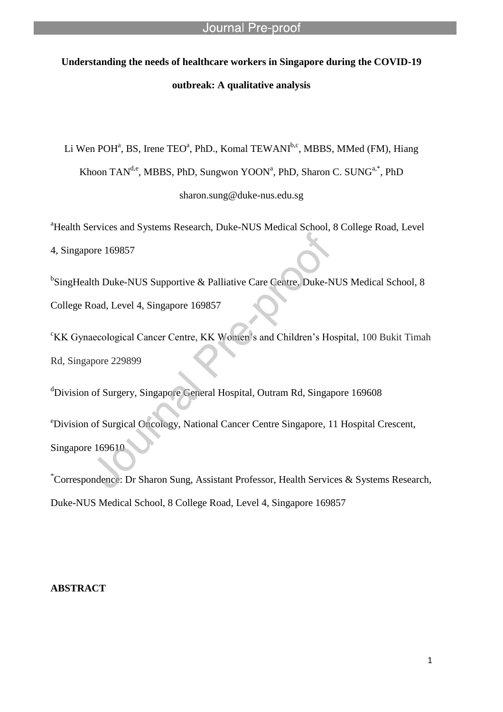# **Understanding the needs of healthcare workers in Singapore during the COVID-19 outbreak: A qualitative analysis**

l

Li Wen POH<sup>a</sup>, BS, Irene TEO<sup>a</sup>, PhD., Komal TEWANI<sup>b,c</sup>, MBBS, MMed (FM), Hiang Khoon TAN<sup>d,e</sup>, MBBS, PhD, Sungwon YOON<sup>a</sup>, PhD, Sharon C. SUNG<sup>a,\*</sup>, PhD sharon.sung@duke-nus.edu.sg

<sup>a</sup>Health Services and Systems Research, Duke-NUS Medical School, 8 College Road, Level 4, Singapore 169857

<sup>b</sup>SingHealth Duke-NUS Supportive & Palliative Care Centre, Duke-NUS Medical School, 8 College Road, Level 4, Singapore 169857

<sup>c</sup>KK Gynaecological Cancer Centre, KK Women's and Children's Hospital, 100 Bukit Timah Rd, Singapore 229899

<sup>d</sup>Division of Surgery, Singapore General Hospital, Outram Rd, Singapore 169608

<sup>e</sup>Division of Surgical Oncology, National Cancer Centre Singapore, 11 Hospital Crescent, Singapore 169610

\*Correspondence: Dr Sharon Sung, Assistant Professor, Health Services & Systems Research, Duke-NUS Medical School, 8 College Road, Level 4, Singapore 169857

# **ABSTRACT**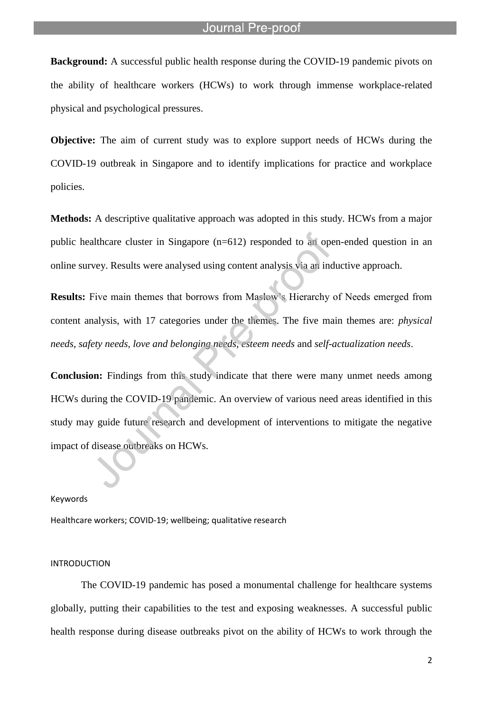**Background:** A successful public health response during the COVID-19 pandemic pivots on the ability of healthcare workers (HCWs) to work through immense workplace-related physical and psychological pressures.

l

**Objective:** The aim of current study was to explore support needs of HCWs during the COVID-19 outbreak in Singapore and to identify implications for practice and workplace policies.

**Methods:** A descriptive qualitative approach was adopted in this study. HCWs from a major public healthcare cluster in Singapore (n=612) responded to an open-ended question in an online survey. Results were analysed using content analysis via an inductive approach.

**Results:** Five main themes that borrows from Maslow's Hierarchy of Needs emerged from content analysis, with 17 categories under the themes. The five main themes are: *physical needs, safety needs, love and belonging needs, esteem needs* and *self-actualization needs*.

**Conclusion:** Findings from this study indicate that there were many unmet needs among HCWs during the COVID-19 pandemic. An overview of various need areas identified in this study may guide future research and development of interventions to mitigate the negative impact of disease outbreaks on HCWs.

#### Keywords

Healthcare workers; COVID-19; wellbeing; qualitative research

#### INTRODUCTION

The COVID-19 pandemic has posed a monumental challenge for healthcare systems globally, putting their capabilities to the test and exposing weaknesses. A successful public health response during disease outbreaks pivot on the ability of HCWs to work through the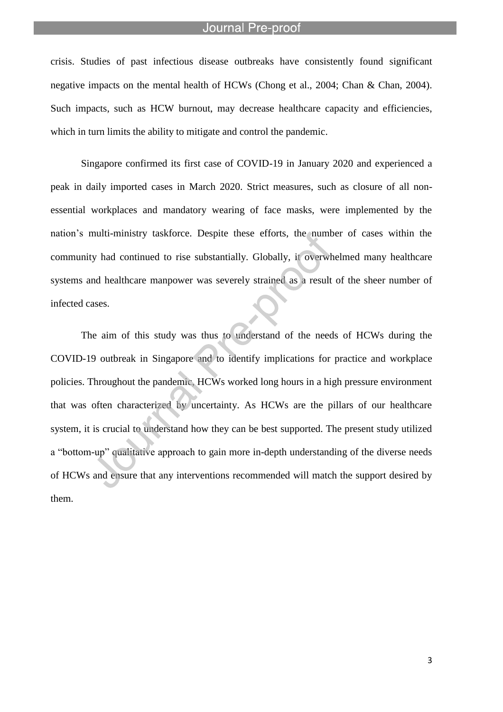l

crisis. Studies of past infectious disease outbreaks have consistently found significant negative impacts on the mental health of HCWs (Chong et al., 2004; Chan & Chan, 2004). Such impacts, such as HCW burnout, may decrease healthcare capacity and efficiencies, which in turn limits the ability to mitigate and control the pandemic.

Singapore confirmed its first case of COVID-19 in January 2020 and experienced a peak in daily imported cases in March 2020. Strict measures, such as closure of all nonessential workplaces and mandatory wearing of face masks, were implemented by the nation's multi-ministry taskforce. Despite these efforts, the number of cases within the community had continued to rise substantially. Globally, it overwhelmed many healthcare systems and healthcare manpower was severely strained as a result of the sheer number of infected cases.

The aim of this study was thus to understand of the needs of HCWs during the COVID-19 outbreak in Singapore and to identify implications for practice and workplace policies. Throughout the pandemic, HCWs worked long hours in a high pressure environment that was often characterized by uncertainty. As HCWs are the pillars of our healthcare system, it is crucial to understand how they can be best supported. The present study utilized a "bottom-up" qualitative approach to gain more in-depth understanding of the diverse needs of HCWs and ensure that any interventions recommended will match the support desired by them.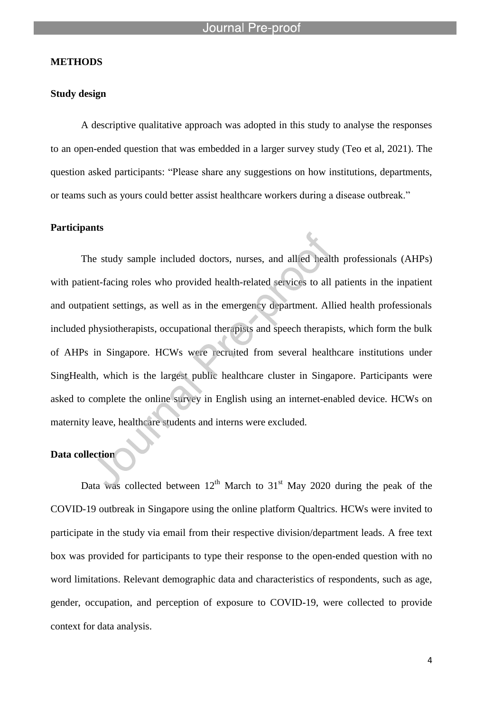#### **METHODS**

#### **Study design**

A descriptive qualitative approach was adopted in this study to analyse the responses to an open-ended question that was embedded in a larger survey study (Teo et al, 2021). The question asked participants: "Please share any suggestions on how institutions, departments, or teams such as yours could better assist healthcare workers during a disease outbreak."

#### **Participants**

The study sample included doctors, nurses, and allied health professionals (AHPs) with patient-facing roles who provided health-related services to all patients in the inpatient and outpatient settings, as well as in the emergency department. Allied health professionals included physiotherapists, occupational therapists and speech therapists, which form the bulk of AHPs in Singapore. HCWs were recruited from several healthcare institutions under SingHealth, which is the largest public healthcare cluster in Singapore. Participants were asked to complete the online survey in English using an internet-enabled device. HCWs on maternity leave, healthcare students and interns were excluded.

# **Data collection**

Data was collected between  $12<sup>th</sup>$  March to  $31<sup>st</sup>$  May 2020 during the peak of the COVID-19 outbreak in Singapore using the online platform Qualtrics. HCWs were invited to participate in the study via email from their respective division/department leads. A free text box was provided for participants to type their response to the open-ended question with no word limitations. Relevant demographic data and characteristics of respondents, such as age, gender, occupation, and perception of exposure to COVID-19, were collected to provide context for data analysis.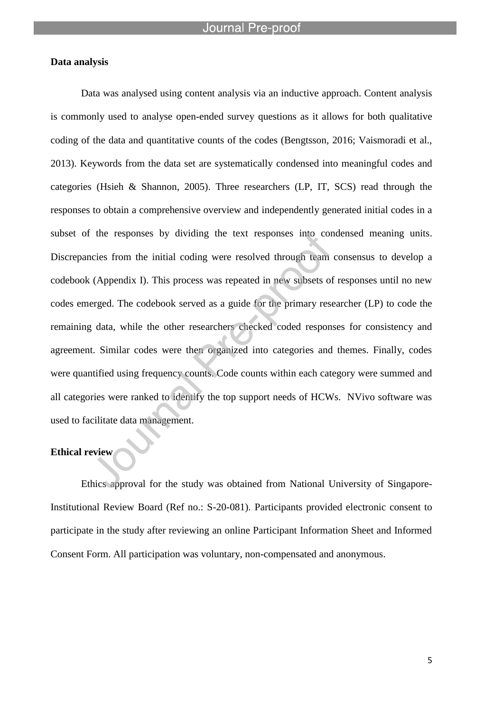## **Data analysis**

Data was analysed using content analysis via an inductive approach. Content analysis is commonly used to analyse open-ended survey questions as it allows for both qualitative coding of the data and quantitative counts of the codes (Bengtsson, 2016; Vaismoradi et al., 2013). Keywords from the data set are systematically condensed into meaningful codes and categories (Hsieh & Shannon, 2005). Three researchers (LP, IT, SCS) read through the responses to obtain a comprehensive overview and independently generated initial codes in a subset of the responses by dividing the text responses into condensed meaning units. Discrepancies from the initial coding were resolved through team consensus to develop a codebook (Appendix I). This process was repeated in new subsets of responses until no new codes emerged. The codebook served as a guide for the primary researcher (LP) to code the remaining data, while the other researchers checked coded responses for consistency and agreement. Similar codes were then organized into categories and themes. Finally, codes were quantified using frequency counts. Code counts within each category were summed and all categories were ranked to identify the top support needs of HCWs. NVivo software was used to facilitate data management.

# **Ethical review**

Ethics approval for the study was obtained from National University of Singapore-Institutional Review Board (Ref no.: S-20-081). Participants provided electronic consent to participate in the study after reviewing an online Participant Information Sheet and Informed Consent Form. All participation was voluntary, non-compensated and anonymous.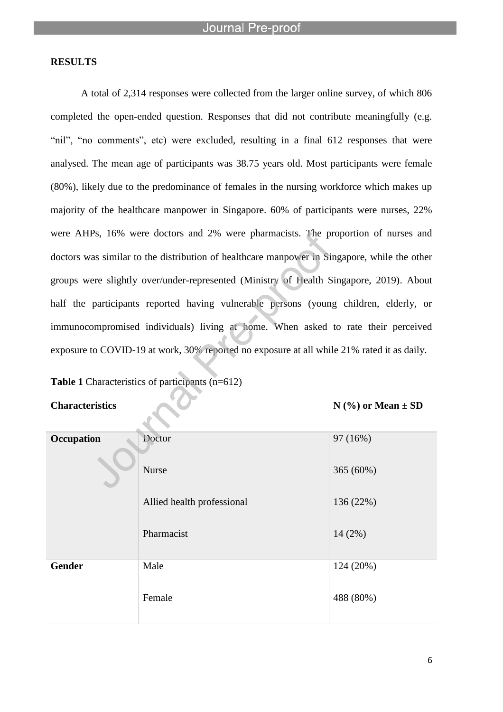# **RESULTS**

A total of 2,314 responses were collected from the larger online survey, of which 806 completed the open-ended question. Responses that did not contribute meaningfully (e.g. "nil", "no comments", etc) were excluded, resulting in a final 612 responses that were analysed. The mean age of participants was 38.75 years old. Most participants were female (80%), likely due to the predominance of females in the nursing workforce which makes up majority of the healthcare manpower in Singapore. 60% of participants were nurses, 22% were AHPs, 16% were doctors and 2% were pharmacists. The proportion of nurses and doctors was similar to the distribution of healthcare manpower in Singapore, while the other groups were slightly over/under-represented (Ministry of Health Singapore, 2019). About half the participants reported having vulnerable persons (young children, elderly, or immunocompromised individuals) living at home. When asked to rate their perceived exposure to COVID-19 at work, 30% reported no exposure at all while 21% rated it as daily.

**Table 1** Characteristics of participants (n=612)

**Characteristics N** (%) or Mean  $\pm$  SD

| Occupation | Doctor                     | 97 (16%)  |
|------------|----------------------------|-----------|
|            | Nurse                      | 365 (60%) |
|            | Allied health professional | 136 (22%) |
|            | Pharmacist                 | $14(2\%)$ |
| Gender     | Male                       | 124 (20%) |
|            | Female                     | 488 (80%) |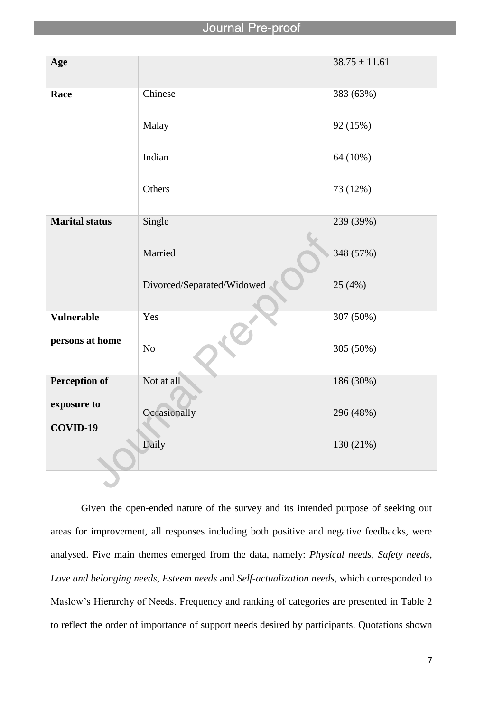| Age                   |                            | $38.75 \pm 11.61$ |
|-----------------------|----------------------------|-------------------|
| Race                  | Chinese                    | 383 (63%)         |
|                       | Malay                      | 92 (15%)          |
|                       | Indian                     | 64 (10%)          |
|                       | Others                     | 73 (12%)          |
| <b>Marital status</b> | Single                     | 239 (39%)         |
|                       | Married                    | 348 (57%)         |
|                       | Divorced/Separated/Widowed | 25(4%)            |
| Vulnerable            | Yes                        | 307 (50%)         |
| persons at home       | $\rm No$                   | 305 (50%)         |
| <b>Perception of</b>  | Not at all                 | 186 (30%)         |
| exposure to           | Occasionally               | 296 (48%)         |
| COVID-19              |                            |                   |
|                       | Daily                      | 130 (21%)         |
|                       |                            |                   |

Given the open-ended nature of the survey and its intended purpose of seeking out areas for improvement, all responses including both positive and negative feedbacks, were analysed. Five main themes emerged from the data, namely: *Physical needs, Safety needs, Love and belonging needs, Esteem needs* and *Self-actualization needs*, which corresponded to Maslow's Hierarchy of Needs. Frequency and ranking of categories are presented in Table 2 to reflect the order of importance of support needs desired by participants. Quotations shown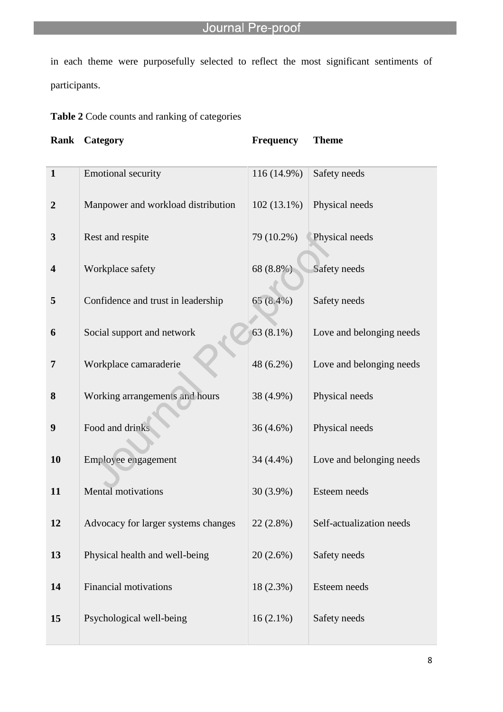in each theme were purposefully selected to reflect the most significant sentiments of participants.

**Table 2** Code counts and ranking of categories

l

| Rank                    | Category                            | <b>Frequency</b> | <b>Theme</b>             |
|-------------------------|-------------------------------------|------------------|--------------------------|
| $\mathbf{1}$            | <b>Emotional security</b>           | 116 (14.9%)      | Safety needs             |
| $\overline{2}$          | Manpower and workload distribution  | $102(13.1\%)$    | Physical needs           |
| 3                       | Rest and respite                    | 79 (10.2%)       | Physical needs           |
| $\overline{\mathbf{4}}$ | Workplace safety                    | 68 (8.8%)        | Safety needs             |
| 5                       | Confidence and trust in leadership  | 65(8.4%)         | Safety needs             |
| 6                       | Social support and network          | 63 (8.1%)        | Love and belonging needs |
| 7                       | Workplace camaraderie               | 48 (6.2%)        | Love and belonging needs |
| 8                       | Working arrangements and hours      | 38 (4.9%)        | Physical needs           |
| $\boldsymbol{9}$        | Food and drinks                     | 36 (4.6%)        | Physical needs           |
| 10                      | Employee engagement                 | 34 (4.4%)        | Love and belonging needs |
| 11                      | Mental motivations                  | 30 (3.9%)        | Esteem needs             |
| 12                      | Advocacy for larger systems changes | $22(2.8\%)$      | Self-actualization needs |
| 13                      | Physical health and well-being      | $20(2.6\%)$      | Safety needs             |
| 14                      | <b>Financial motivations</b>        | $18(2.3\%)$      | Esteem needs             |
| 15                      | Psychological well-being            | $16(2.1\%)$      | Safety needs             |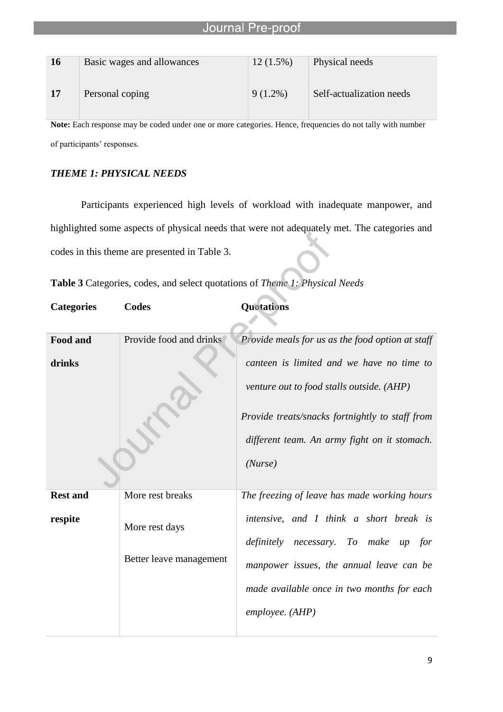| <b>16</b> | Basic wages and allowances | $12(1.5\%)$ | Physical needs           |
|-----------|----------------------------|-------------|--------------------------|
| 17        | Personal coping            | $9(1.2\%)$  | Self-actualization needs |

Note: Each response may be coded under one or more categories. Hence, frequencies do not tally with number of participants' responses.

# *THEME 1: PHYSICAL NEEDS*

Participants experienced high levels of workload with inadequate manpower, and highlighted some aspects of physical needs that were not adequately met. The categories and codes in this theme are presented in Table 3.

|  | Table 3 Categories, codes, and select quotations of Theme 1: Physical Needs |  |  |  |  |  |  |  |
|--|-----------------------------------------------------------------------------|--|--|--|--|--|--|--|
|--|-----------------------------------------------------------------------------|--|--|--|--|--|--|--|

| <b>Categories</b> | <b>Codes</b>                              | Quotations                                                                                                                                                                                           |
|-------------------|-------------------------------------------|------------------------------------------------------------------------------------------------------------------------------------------------------------------------------------------------------|
| Food and          | Provide food and drinks                   | Provide meals for us as the food option at staff                                                                                                                                                     |
| drinks            |                                           | canteen is limited and we have no time to<br>venture out to food stalls outside. (AHP)<br>Provide treats/snacks fortnightly to staff from<br>different team. An army fight on it stomach.<br>(Nurse) |
| <b>Rest and</b>   | More rest breaks                          | The freezing of leave has made working hours                                                                                                                                                         |
| respite           | More rest days<br>Better leave management | intensive, and I think a short break is<br>necessary. To make<br>definitely<br>$up$ for<br>manpower issues, the annual leave can be<br>made available once in two months for each<br>employee. (AHP) |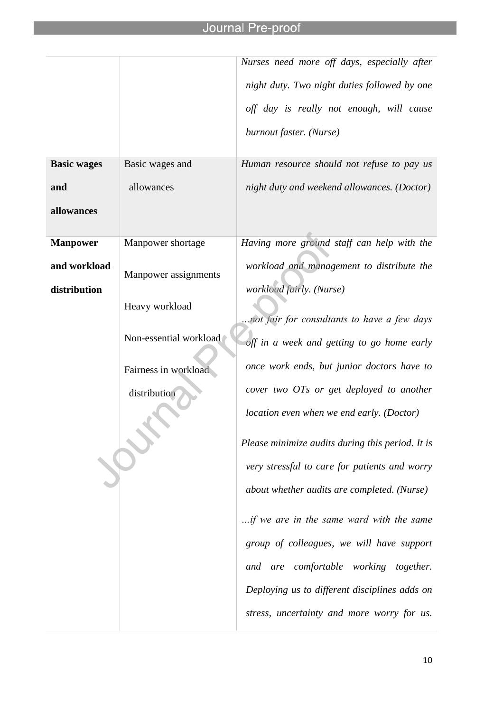|                    |                        | Nurses need more off days, especially after      |
|--------------------|------------------------|--------------------------------------------------|
|                    |                        | night duty. Two night duties followed by one     |
|                    |                        | off day is really not enough, will cause         |
|                    |                        | burnout faster. (Nurse)                          |
| <b>Basic wages</b> | Basic wages and        | Human resource should not refuse to pay us       |
| and                | allowances             | night duty and weekend allowances. (Doctor)      |
| allowances         |                        |                                                  |
| <b>Manpower</b>    | Manpower shortage      | Having more ground staff can help with the       |
| and workload       | Manpower assignments   | workload and management to distribute the        |
| distribution       |                        | workload fairly. (Nurse)                         |
|                    | Heavy workload         | not fair for consultants to have a few days      |
|                    | Non-essential workload | off in a week and getting to go home early       |
|                    | Fairness in workload   | once work ends, but junior doctors have to       |
|                    | distribution           | cover two OTs or get deployed to another         |
|                    |                        | location even when we end early. (Doctor)        |
|                    |                        | Please minimize audits during this period. It is |
|                    |                        | very stressful to care for patients and worry    |
|                    |                        | about whether audits are completed. (Nurse)      |
|                    |                        | if we are in the same ward with the same         |
|                    |                        | group of colleagues, we will have support        |
|                    |                        | and are comfortable working together.            |
|                    |                        | Deploying us to different disciplines adds on    |
|                    |                        | stress, uncertainty and more worry for us.       |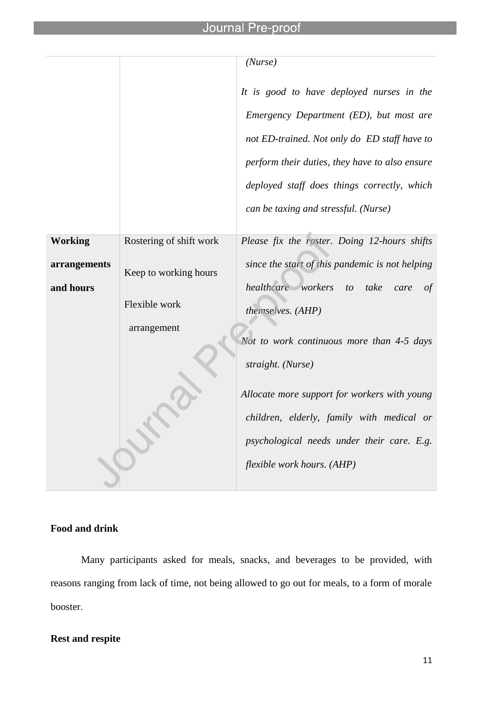l

|                |                         | (Nurse)                                                        |
|----------------|-------------------------|----------------------------------------------------------------|
|                |                         | It is good to have deployed nurses in the                      |
|                |                         | Emergency Department (ED), but most are                        |
|                |                         | not ED-trained. Not only do ED staff have to                   |
|                |                         | perform their duties, they have to also ensure                 |
|                |                         | deployed staff does things correctly, which                    |
|                |                         | can be taxing and stressful. (Nurse)                           |
| <b>Working</b> | Rostering of shift work | Please fix the roster. Doing 12-hours shifts                   |
| arrangements   | Keep to working hours   | since the start of this pandemic is not helping                |
| and hours      |                         | healthcare workers<br>take<br>to<br>$\sigma f$<br>care         |
|                | Flexible work           | themselves. (AHP)                                              |
|                | arrangement             |                                                                |
|                |                         | Not to work continuous more than 4-5 days<br>straight. (Nurse) |
|                |                         | Allocate more support for workers with young                   |
|                |                         | children, elderly, family with medical or                      |
|                |                         | psychological needs under their care. E.g.                     |
|                |                         | flexible work hours. (AHP)                                     |
|                |                         |                                                                |

# **Food and drink**

Many participants asked for meals, snacks, and beverages to be provided, with reasons ranging from lack of time, not being allowed to go out for meals, to a form of morale booster.

# **Rest and respite**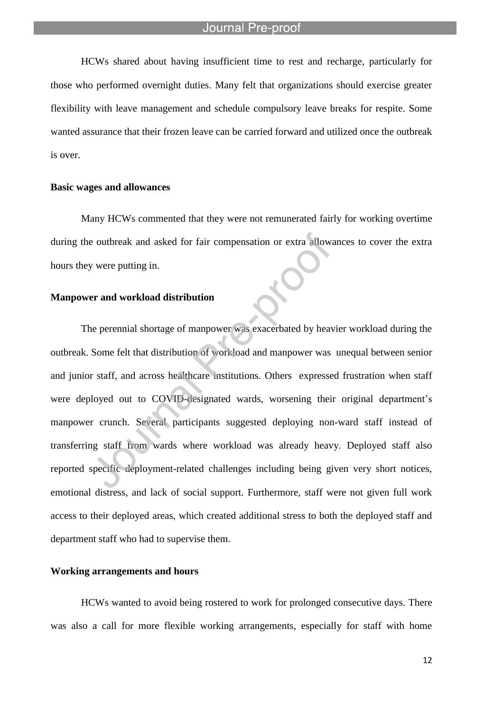l

HCWs shared about having insufficient time to rest and recharge, particularly for those who performed overnight duties. Many felt that organizations should exercise greater flexibility with leave management and schedule compulsory leave breaks for respite. Some wanted assurance that their frozen leave can be carried forward and utilized once the outbreak is over.

#### **Basic wages and allowances**

Many HCWs commented that they were not remunerated fairly for working overtime during the outbreak and asked for fair compensation or extra allowances to cover the extra hours they were putting in.

#### **Manpower and workload distribution**

The perennial shortage of manpower was exacerbated by heavier workload during the outbreak. Some felt that distribution of workload and manpower was unequal between senior and junior staff, and across healthcare institutions. Others expressed frustration when staff were deployed out to COVID-designated wards, worsening their original department's manpower crunch. Several participants suggested deploying non-ward staff instead of transferring staff from wards where workload was already heavy. Deployed staff also reported specific deployment-related challenges including being given very short notices, emotional distress, and lack of social support. Furthermore, staff were not given full work access to their deployed areas, which created additional stress to both the deployed staff and department staff who had to supervise them.

### **Working arrangements and hours**

HCWs wanted to avoid being rostered to work for prolonged consecutive days. There was also a call for more flexible working arrangements, especially for staff with home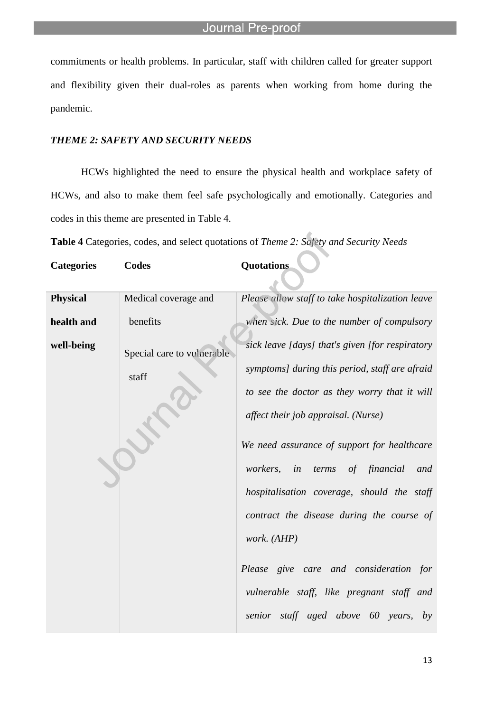commitments or health problems. In particular, staff with children called for greater support and flexibility given their dual-roles as parents when working from home during the pandemic.

#### *THEME 2: SAFETY AND SECURITY NEEDS*

l

HCWs highlighted the need to ensure the physical health and workplace safety of HCWs, and also to make them feel safe psychologically and emotionally. Categories and codes in this theme are presented in Table 4.

**Table 4** Categories, codes, and select quotations of *Theme 2: Safety and Security Needs*

| <b>Categories</b> | <b>Codes</b>               | Quotations                                            |
|-------------------|----------------------------|-------------------------------------------------------|
| <b>Physical</b>   | Medical coverage and       | Please allow staff to take hospitalization leave      |
| health and        | benefits                   | when sick. Due to the number of compulsory            |
| well-being        | Special care to vulnerable | sick leave [days] that's given [for respiratory       |
|                   | staff                      | symptoms] during this period, staff are afraid        |
|                   |                            | to see the doctor as they worry that it will          |
|                   |                            | affect their job appraisal. (Nurse)                   |
|                   |                            | We need assurance of support for healthcare           |
|                   |                            | of financial<br><i>workers,</i><br>in<br>and<br>terms |
|                   |                            | hospitalisation coverage, should the staff            |
|                   |                            | contract the disease during the course of             |
|                   |                            | work. (AHP)                                           |
|                   |                            | Please give care and consideration for                |
|                   |                            | vulnerable staff, like pregnant staff and             |
|                   |                            | senior staff aged above 60 years,<br>by               |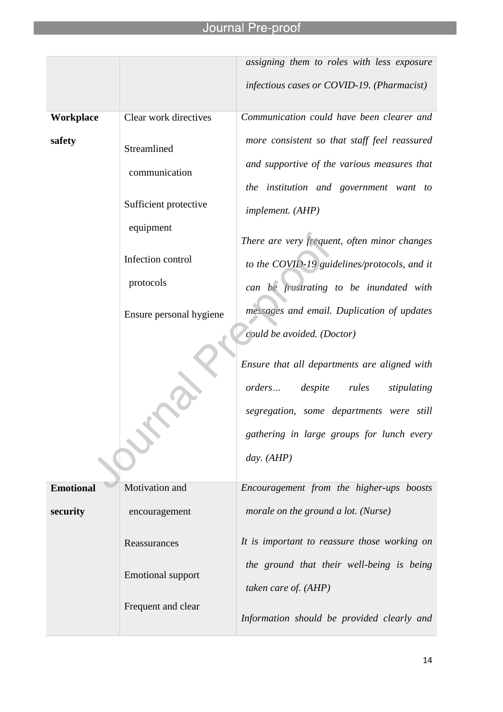|                  |                                                                                                                                 | assigning them to roles with less exposure                                                                                                                                                                                                                                                                                                                                                                                                                                                                                                                             |
|------------------|---------------------------------------------------------------------------------------------------------------------------------|------------------------------------------------------------------------------------------------------------------------------------------------------------------------------------------------------------------------------------------------------------------------------------------------------------------------------------------------------------------------------------------------------------------------------------------------------------------------------------------------------------------------------------------------------------------------|
|                  |                                                                                                                                 | infectious cases or COVID-19. (Pharmacist)                                                                                                                                                                                                                                                                                                                                                                                                                                                                                                                             |
| Workplace        | Clear work directives                                                                                                           | Communication could have been clearer and                                                                                                                                                                                                                                                                                                                                                                                                                                                                                                                              |
| safety           | Streamlined<br>communication<br>Sufficient protective<br>equipment<br>Infection control<br>protocols<br>Ensure personal hygiene | more consistent so that staff feel reassured<br>and supportive of the various measures that<br>the institution and government want to<br>implement. (AHP)<br>There are very frequent, often minor changes<br>to the COVID-19 guidelines/protocols, and it<br>can be frustrating to be inundated with<br>messages and email. Duplication of updates<br>could be avoided. (Doctor)<br>Ensure that all departments are aligned with<br>despite<br>rules<br>orders<br>stipulating<br>segregation, some departments were still<br>gathering in large groups for lunch every |
|                  |                                                                                                                                 | day. (AHP)                                                                                                                                                                                                                                                                                                                                                                                                                                                                                                                                                             |
| <b>Emotional</b> | Motivation and                                                                                                                  | Encouragement from the higher-ups boosts                                                                                                                                                                                                                                                                                                                                                                                                                                                                                                                               |
| security         | encouragement                                                                                                                   | morale on the ground a lot. (Nurse)                                                                                                                                                                                                                                                                                                                                                                                                                                                                                                                                    |
|                  | Reassurances<br><b>Emotional support</b>                                                                                        | It is important to reassure those working on<br>the ground that their well-being is being<br>taken care of. (AHP)                                                                                                                                                                                                                                                                                                                                                                                                                                                      |
|                  | Frequent and clear                                                                                                              | Information should be provided clearly and                                                                                                                                                                                                                                                                                                                                                                                                                                                                                                                             |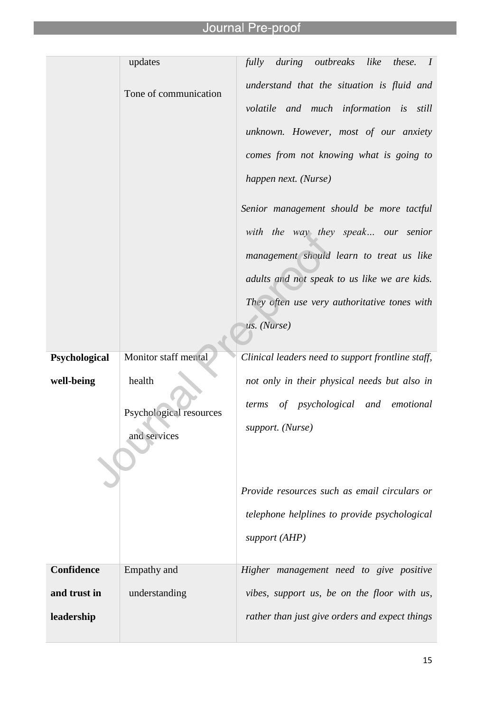l

|               | updates                                           | fully<br>during<br>outbreaks<br>like<br>these. I                                                                                                                                                                                                                                                                                                                                                                                              |
|---------------|---------------------------------------------------|-----------------------------------------------------------------------------------------------------------------------------------------------------------------------------------------------------------------------------------------------------------------------------------------------------------------------------------------------------------------------------------------------------------------------------------------------|
|               | Tone of communication                             | understand that the situation is fluid and<br>volatile and much information is still<br>unknown. However, most of our anxiety<br>comes from not knowing what is going to<br>happen next. (Nurse)<br>Senior management should be more tactful<br>with the way they speak our senior<br>management should learn to treat us like<br>adults and not speak to us like we are kids.<br>They often use very authoritative tones with<br>us. (Nurse) |
| Psychological | Monitor staff mental                              | Clinical leaders need to support frontline staff,                                                                                                                                                                                                                                                                                                                                                                                             |
| well-being    | health<br>Psychological resources<br>and services | not only in their physical needs but also in<br>of psychological and emotional<br>terms<br>support. (Nurse)                                                                                                                                                                                                                                                                                                                                   |
|               |                                                   | Provide resources such as email circulars or<br>telephone helplines to provide psychological<br>support (AHP)                                                                                                                                                                                                                                                                                                                                 |
| Confidence    | Empathy and                                       | Higher management need to give positive                                                                                                                                                                                                                                                                                                                                                                                                       |
| and trust in  | understanding                                     | vibes, support us, be on the floor with us,                                                                                                                                                                                                                                                                                                                                                                                                   |
| leadership    |                                                   | rather than just give orders and expect things                                                                                                                                                                                                                                                                                                                                                                                                |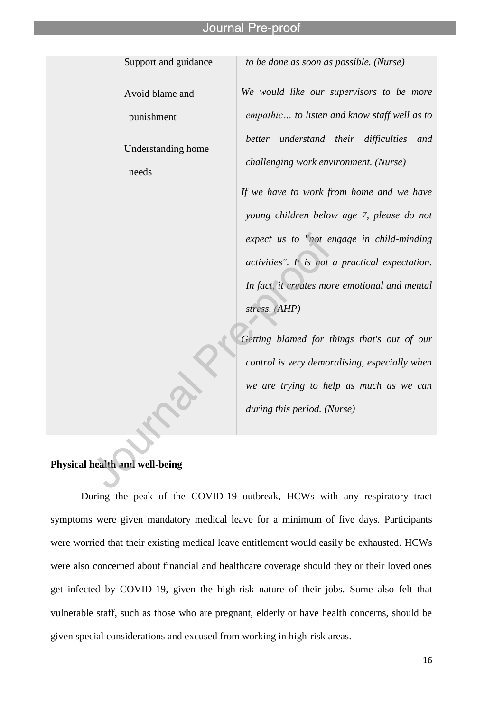Support and guidance Avoid blame and punishment Understanding home needs *to be done as soon as possible. (Nurse) We would like our supervisors to be more empathic… to listen and know staff well as to better understand their difficulties and challenging work environment. (Nurse) If we have to work from home and we have young children below age 7, please do not expect us to "not engage in child-minding activities". It is not a practical expectation. In fact, it creates more emotional and mental stress. (AHP) Getting blamed for things that's out of our control is very demoralising, especially when we are trying to help as much as we can* 

*during this period. (Nurse)*

# **Physical health and well-being**

During the peak of the COVID-19 outbreak, HCWs with any respiratory tract symptoms were given mandatory medical leave for a minimum of five days. Participants were worried that their existing medical leave entitlement would easily be exhausted. HCWs were also concerned about financial and healthcare coverage should they or their loved ones get infected by COVID-19, given the high-risk nature of their jobs. Some also felt that vulnerable staff, such as those who are pregnant, elderly or have health concerns, should be given special considerations and excused from working in high-risk areas.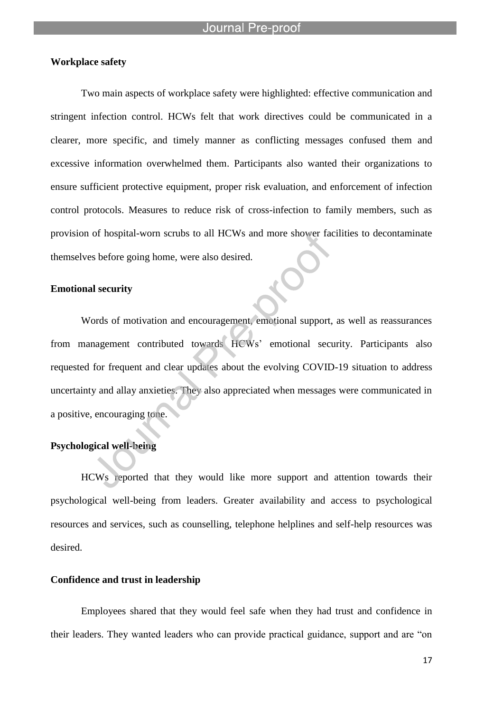# **Workplace safety**

Two main aspects of workplace safety were highlighted: effective communication and stringent infection control. HCWs felt that work directives could be communicated in a clearer, more specific, and timely manner as conflicting messages confused them and excessive information overwhelmed them. Participants also wanted their organizations to ensure sufficient protective equipment, proper risk evaluation, and enforcement of infection control protocols. Measures to reduce risk of cross-infection to family members, such as provision of hospital-worn scrubs to all HCWs and more shower facilities to decontaminate themselves before going home, were also desired.

#### **Emotional security**

Words of motivation and encouragement, emotional support, as well as reassurances from management contributed towards HCWs' emotional security. Participants also requested for frequent and clear updates about the evolving COVID-19 situation to address uncertainty and allay anxieties. They also appreciated when messages were communicated in a positive, encouraging tone.

# **Psychological well-being**

HCWs reported that they would like more support and attention towards their psychological well-being from leaders. Greater availability and access to psychological resources and services, such as counselling, telephone helplines and self-help resources was desired.

# **Confidence and trust in leadership**

Employees shared that they would feel safe when they had trust and confidence in their leaders. They wanted leaders who can provide practical guidance, support and are "on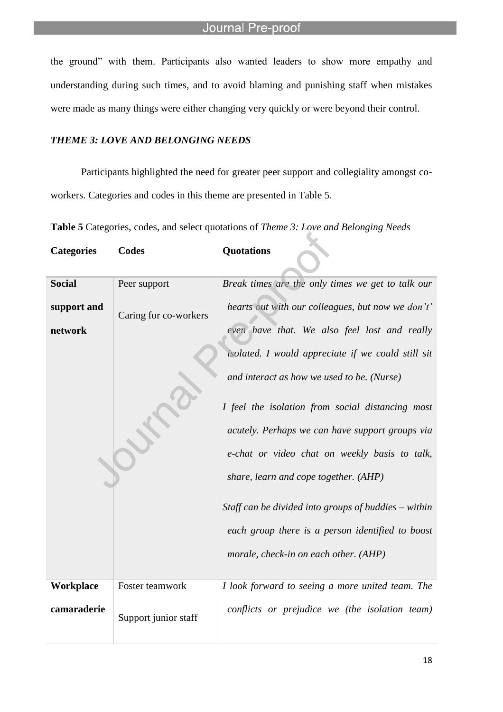the ground" with them. Participants also wanted leaders to show more empathy and understanding during such times, and to avoid blaming and punishing staff when mistakes were made as many things were either changing very quickly or were beyond their control.

# *THEME 3: LOVE AND BELONGING NEEDS*

l

**Categories Codes Quotations**

Participants highlighted the need for greater peer support and collegiality amongst coworkers. Categories and codes in this theme are presented in Table 5.

**Table 5** Categories, codes, and select quotations of *Theme 3: Love and Belonging Needs*

| <b>Social</b>          | Peer support          | Break times are the only times we get to talk our                                                                                                                                                                                                                                                                                                                                                                                                                                                                    |
|------------------------|-----------------------|----------------------------------------------------------------------------------------------------------------------------------------------------------------------------------------------------------------------------------------------------------------------------------------------------------------------------------------------------------------------------------------------------------------------------------------------------------------------------------------------------------------------|
| support and<br>network | Caring for co-workers | hearts out with our colleagues, but now we don't'<br>even have that. We also feel lost and really<br>isolated. I would appreciate if we could still sit<br>and interact as how we used to be. (Nurse)<br>I feel the isolation from social distancing most<br>acutely. Perhaps we can have support groups via<br>e-chat or video chat on weekly basis to talk,<br>share, learn and cope together. (AHP)<br>Staff can be divided into groups of buddies $-$ within<br>each group there is a person identified to boost |
|                        |                       | morale, check-in on each other. (AHP)                                                                                                                                                                                                                                                                                                                                                                                                                                                                                |
| Workplace              | Foster teamwork       | I look forward to seeing a more united team. The                                                                                                                                                                                                                                                                                                                                                                                                                                                                     |
| camaraderie            | Support junior staff  | conflicts or prejudice we (the isolation team)                                                                                                                                                                                                                                                                                                                                                                                                                                                                       |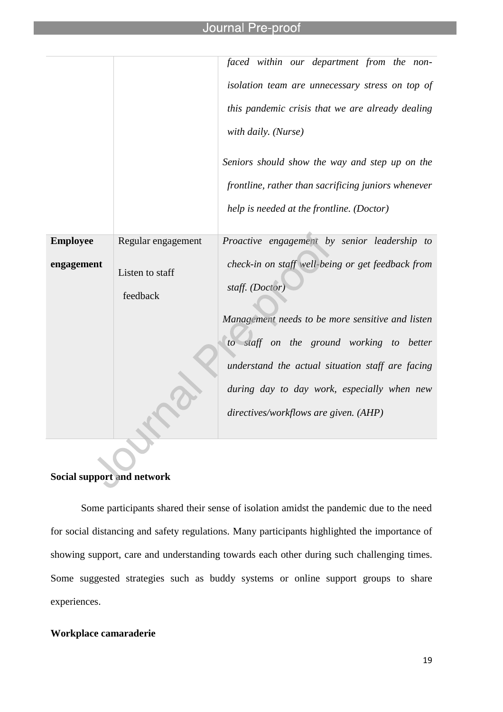l

|                 |                    | faced within our department from the non-           |
|-----------------|--------------------|-----------------------------------------------------|
|                 |                    | isolation team are unnecessary stress on top of     |
|                 |                    | this pandemic crisis that we are already dealing    |
|                 |                    | with daily. (Nurse)                                 |
|                 |                    | Seniors should show the way and step up on the      |
|                 |                    | frontline, rather than sacrificing juniors whenever |
|                 |                    | help is needed at the frontline. (Doctor)           |
|                 |                    |                                                     |
| <b>Employee</b> | Regular engagement | Proactive engagement by senior leadership to        |
| engagement      | Listen to staff    | check-in on staff well-being or get feedback from   |
|                 |                    | staff. (Doctor)                                     |
|                 | feedback           |                                                     |
|                 |                    | Management needs to be more sensitive and listen    |
|                 |                    | to staff on the ground working to better            |
|                 |                    | understand the actual situation staff are facing    |
|                 |                    | during day to day work, especially when new         |
|                 |                    |                                                     |
|                 |                    | directives/workflows are given. (AHP)               |
|                 |                    |                                                     |

# **Social support and network**

Some participants shared their sense of isolation amidst the pandemic due to the need for social distancing and safety regulations. Many participants highlighted the importance of showing support, care and understanding towards each other during such challenging times. Some suggested strategies such as buddy systems or online support groups to share experiences.

# **Workplace camaraderie**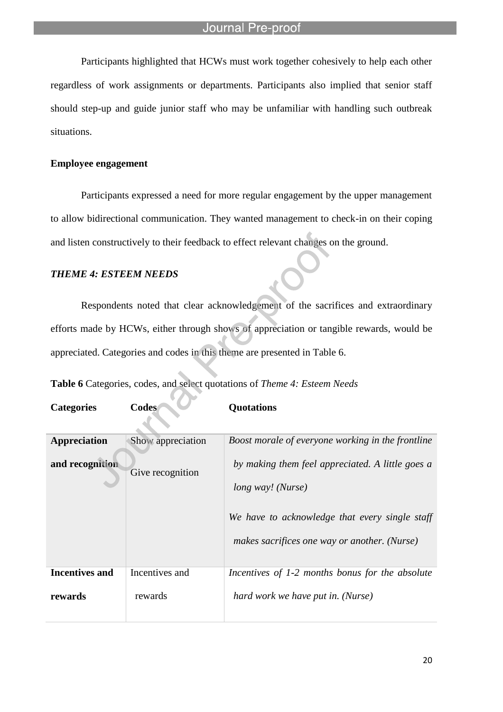Participants highlighted that HCWs must work together cohesively to help each other regardless of work assignments or departments. Participants also implied that senior staff should step-up and guide junior staff who may be unfamiliar with handling such outbreak situations.

# **Employee engagement**

Participants expressed a need for more regular engagement by the upper management to allow bidirectional communication. They wanted management to check-in on their coping and listen constructively to their feedback to effect relevant changes on the ground.

# *THEME 4: ESTEEM NEEDS*

Respondents noted that clear acknowledgement of the sacrifices and extraordinary efforts made by HCWs, either through shows of appreciation or tangible rewards, would be appreciated. Categories and codes in this theme are presented in Table 6.

**Table 6** Categories, codes, and select quotations of *Theme 4: Esteem Needs*

| <b>Categories</b> | <b>Codes</b> | Quotations |
|-------------------|--------------|------------|
|                   |              |            |

| Appreciation<br>and recognition | Show appreciation<br>Give recognition | Boost morale of everyone working in the frontline<br>by making them feel appreciated. A little goes a<br>long way! (Nurse)<br>We have to acknowledge that every single staff<br>makes sacrifices one way or another. (Nurse) |
|---------------------------------|---------------------------------------|------------------------------------------------------------------------------------------------------------------------------------------------------------------------------------------------------------------------------|
| <b>Incentives and</b>           | Incentives and                        | Incentives of 1-2 months bonus for the absolute                                                                                                                                                                              |
| rewards                         | rewards                               | hard work we have put in. (Nurse)                                                                                                                                                                                            |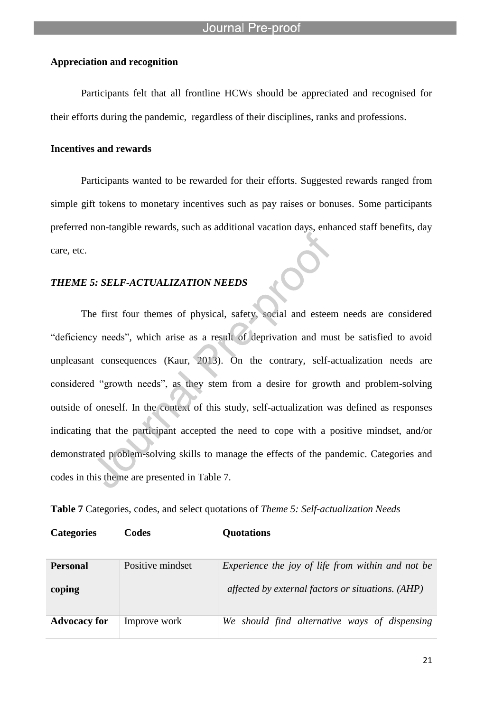### **Appreciation and recognition**

l

Participants felt that all frontline HCWs should be appreciated and recognised for their efforts during the pandemic, regardless of their disciplines, ranks and professions.

#### **Incentives and rewards**

Participants wanted to be rewarded for their efforts. Suggested rewards ranged from simple gift tokens to monetary incentives such as pay raises or bonuses. Some participants preferred non-tangible rewards, such as additional vacation days, enhanced staff benefits, day care, etc.

# *THEME 5: SELF-ACTUALIZATION NEEDS*

The first four themes of physical, safety, social and esteem needs are considered "deficiency needs", which arise as a result of deprivation and must be satisfied to avoid unpleasant consequences (Kaur, 2013). On the contrary, self-actualization needs are considered "growth needs", as they stem from a desire for growth and problem-solving outside of oneself. In the context of this study, self-actualization was defined as responses indicating that the participant accepted the need to cope with a positive mindset, and/or demonstrated problem-solving skills to manage the effects of the pandemic. Categories and codes in this theme are presented in Table 7.

**Table 7** Categories, codes, and select quotations of *Theme 5: Self-actualization Needs*

| <b>Categories</b><br>Codes | Quotations |
|----------------------------|------------|
|----------------------------|------------|

| <b>Personal</b>     | Positive mindset | Experience the joy of life from within and not be |
|---------------------|------------------|---------------------------------------------------|
| coping              |                  | affected by external factors or situations. (AHP) |
| <b>Advocacy for</b> | Improve work     | We should find alternative ways of dispensing     |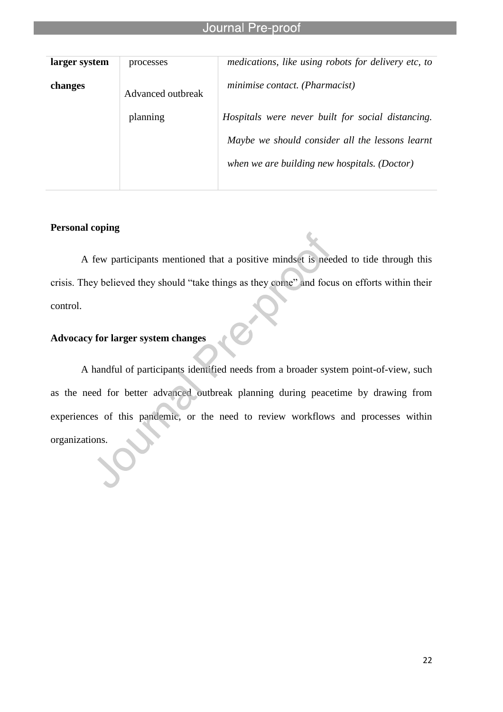l

| larger system | processes         | medications, like using robots for delivery etc, to |
|---------------|-------------------|-----------------------------------------------------|
| changes       | Advanced outbreak | minimise contact. (Pharmacist)                      |
|               | planning          | Hospitals were never built for social distancing.   |
|               |                   | Maybe we should consider all the lessons learnt     |
|               |                   | when we are building new hospitals. (Doctor)        |
|               |                   |                                                     |

# **Personal coping**

A few participants mentioned that a positive mindset is needed to tide through this crisis. They believed they should "take things as they come" and focus on efforts within their control.

# **Advocacy for larger system changes**

A handful of participants identified needs from a broader system point-of-view, such as the need for better advanced outbreak planning during peacetime by drawing from experiences of this pandemic, or the need to review workflows and processes within organizations.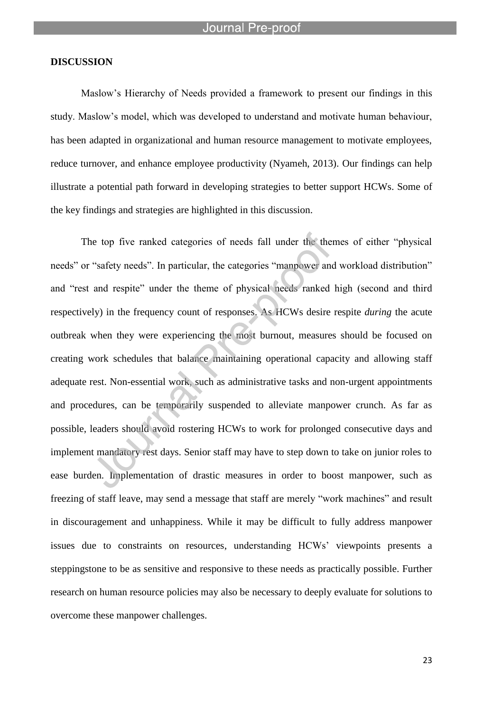#### **DISCUSSION**

Maslow's Hierarchy of Needs provided a framework to present our findings in this study. Maslow's model, which was developed to understand and motivate human behaviour, has been adapted in organizational and human resource management to motivate employees, reduce turnover, and enhance employee productivity (Nyameh, 2013). Our findings can help illustrate a potential path forward in developing strategies to better support HCWs. Some of the key findings and strategies are highlighted in this discussion.

The top five ranked categories of needs fall under the themes of either "physical needs" or "safety needs". In particular, the categories "manpower and workload distribution" and "rest and respite" under the theme of physical needs ranked high (second and third respectively) in the frequency count of responses. As HCWs desire respite *during* the acute outbreak when they were experiencing the most burnout, measures should be focused on creating work schedules that balance maintaining operational capacity and allowing staff adequate rest. Non-essential work, such as administrative tasks and non-urgent appointments and procedures, can be temporarily suspended to alleviate manpower crunch. As far as possible, leaders should avoid rostering HCWs to work for prolonged consecutive days and implement mandatory rest days. Senior staff may have to step down to take on junior roles to ease burden. Implementation of drastic measures in order to boost manpower, such as freezing of staff leave, may send a message that staff are merely "work machines" and result in discouragement and unhappiness. While it may be difficult to fully address manpower issues due to constraints on resources, understanding HCWs' viewpoints presents a steppingstone to be as sensitive and responsive to these needs as practically possible. Further research on human resource policies may also be necessary to deeply evaluate for solutions to overcome these manpower challenges.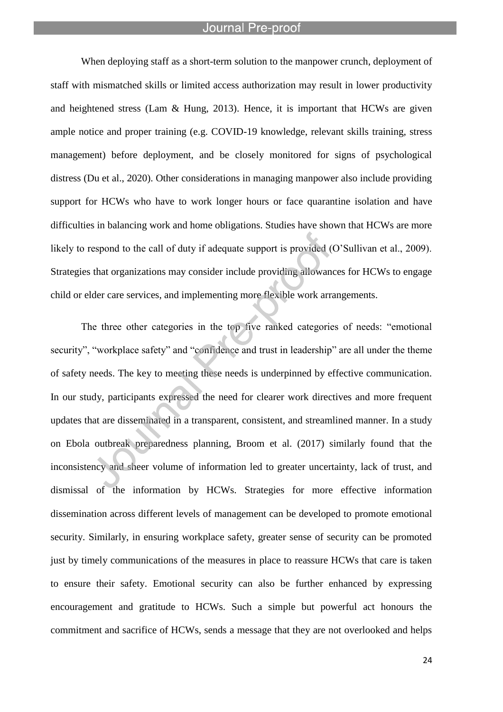l

When deploying staff as a short-term solution to the manpower crunch, deployment of staff with mismatched skills or limited access authorization may result in lower productivity and heightened stress (Lam  $\&$  Hung, 2013). Hence, it is important that HCWs are given ample notice and proper training (e.g. COVID-19 knowledge, relevant skills training, stress management) before deployment, and be closely monitored for signs of psychological distress (Du et al., 2020). Other considerations in managing manpower also include providing support for HCWs who have to work longer hours or face quarantine isolation and have difficulties in balancing work and home obligations. Studies have shown that HCWs are more likely to respond to the call of duty if adequate support is provided (O'Sullivan et al., 2009). Strategies that organizations may consider include providing allowances for HCWs to engage child or elder care services, and implementing more flexible work arrangements.

The three other categories in the top five ranked categories of needs: "emotional security", "workplace safety" and "confidence and trust in leadership" are all under the theme of safety needs. The key to meeting these needs is underpinned by effective communication. In our study, participants expressed the need for clearer work directives and more frequent updates that are disseminated in a transparent, consistent, and streamlined manner. In a study on Ebola outbreak preparedness planning, Broom et al. (2017) similarly found that the inconsistency and sheer volume of information led to greater uncertainty, lack of trust, and dismissal of the information by HCWs. Strategies for more effective information dissemination across different levels of management can be developed to promote emotional security. Similarly, in ensuring workplace safety, greater sense of security can be promoted just by timely communications of the measures in place to reassure HCWs that care is taken to ensure their safety. Emotional security can also be further enhanced by expressing encouragement and gratitude to HCWs. Such a simple but powerful act honours the commitment and sacrifice of HCWs, sends a message that they are not overlooked and helps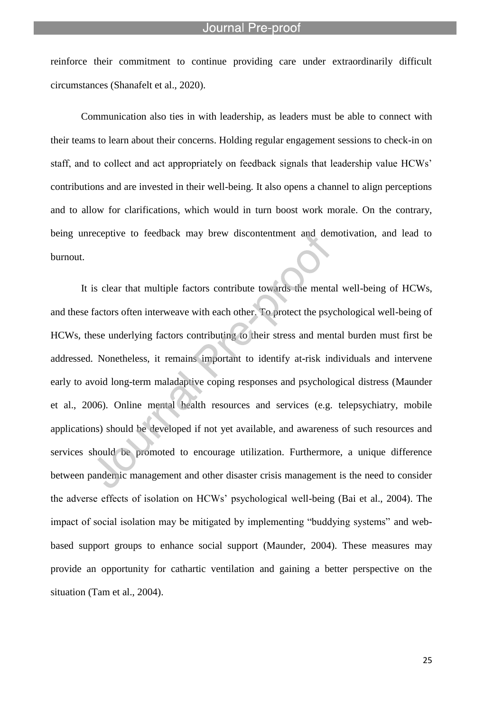reinforce their commitment to continue providing care under extraordinarily difficult circumstances (Shanafelt et al., 2020).

l

Communication also ties in with leadership, as leaders must be able to connect with their teams to learn about their concerns. Holding regular engagement sessions to check-in on staff, and to collect and act appropriately on feedback signals that leadership value HCWs' contributions and are invested in their well-being. It also opens a channel to align perceptions and to allow for clarifications, which would in turn boost work morale. On the contrary, being unreceptive to feedback may brew discontentment and demotivation, and lead to burnout.

It is clear that multiple factors contribute towards the mental well-being of HCWs, and these factors often interweave with each other. To protect the psychological well-being of HCWs, these underlying factors contributing to their stress and mental burden must first be addressed. Nonetheless, it remains important to identify at-risk individuals and intervene early to avoid long-term maladaptive coping responses and psychological distress (Maunder et al., 2006). Online mental health resources and services (e.g. telepsychiatry, mobile applications) should be developed if not yet available, and awareness of such resources and services should be promoted to encourage utilization. Furthermore, a unique difference between pandemic management and other disaster crisis management is the need to consider the adverse effects of isolation on HCWs' psychological well-being (Bai et al., 2004). The impact of social isolation may be mitigated by implementing "buddying systems" and webbased support groups to enhance social support (Maunder, 2004). These measures may provide an opportunity for cathartic ventilation and gaining a better perspective on the situation (Tam et al., 2004).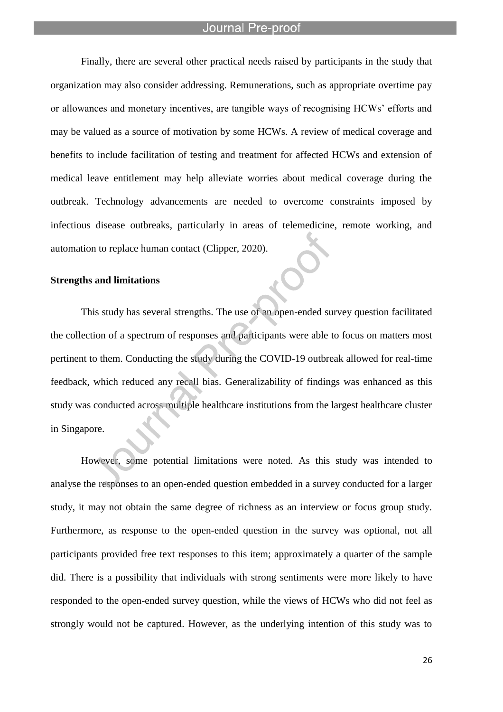l

Finally, there are several other practical needs raised by participants in the study that organization may also consider addressing. Remunerations, such as appropriate overtime pay or allowances and monetary incentives, are tangible ways of recognising HCWs' efforts and may be valued as a source of motivation by some HCWs. A review of medical coverage and benefits to include facilitation of testing and treatment for affected HCWs and extension of medical leave entitlement may help alleviate worries about medical coverage during the outbreak. Technology advancements are needed to overcome constraints imposed by infectious disease outbreaks, particularly in areas of telemedicine, remote working, and automation to replace human contact (Clipper, 2020).

#### **Strengths and limitations**

This study has several strengths. The use of an open-ended survey question facilitated the collection of a spectrum of responses and participants were able to focus on matters most pertinent to them. Conducting the study during the COVID-19 outbreak allowed for real-time feedback, which reduced any recall bias. Generalizability of findings was enhanced as this study was conducted across multiple healthcare institutions from the largest healthcare cluster in Singapore.

However, some potential limitations were noted. As this study was intended to analyse the responses to an open-ended question embedded in a survey conducted for a larger study, it may not obtain the same degree of richness as an interview or focus group study. Furthermore, as response to the open-ended question in the survey was optional, not all participants provided free text responses to this item; approximately a quarter of the sample did. There is a possibility that individuals with strong sentiments were more likely to have responded to the open-ended survey question, while the views of HCWs who did not feel as strongly would not be captured. However, as the underlying intention of this study was to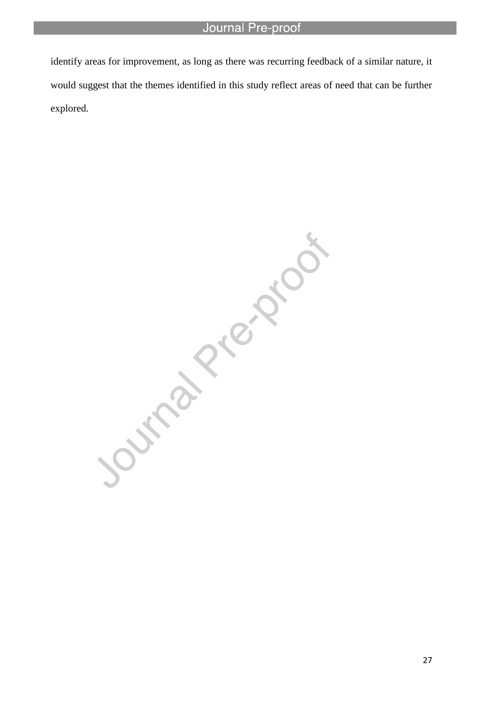identify areas for improvement, as long as there was recurring feedback of a similar nature, it would suggest that the themes identified in this study reflect areas of need that can be further explored.

l

Journal Piezona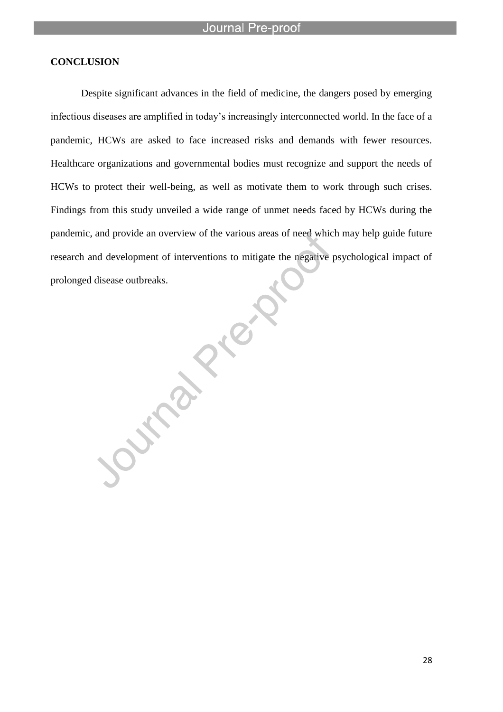# **CONCLUSION**

Despite significant advances in the field of medicine, the dangers posed by emerging infectious diseases are amplified in today's increasingly interconnected world. In the face of a pandemic, HCWs are asked to face increased risks and demands with fewer resources. Healthcare organizations and governmental bodies must recognize and support the needs of HCWs to protect their well-being, as well as motivate them to work through such crises. Findings from this study unveiled a wide range of unmet needs faced by HCWs during the pandemic, and provide an overview of the various areas of need which may help guide future research and development of interventions to mitigate the negative psychological impact of prolonged disease outbreaks.

**Survey Press** 

28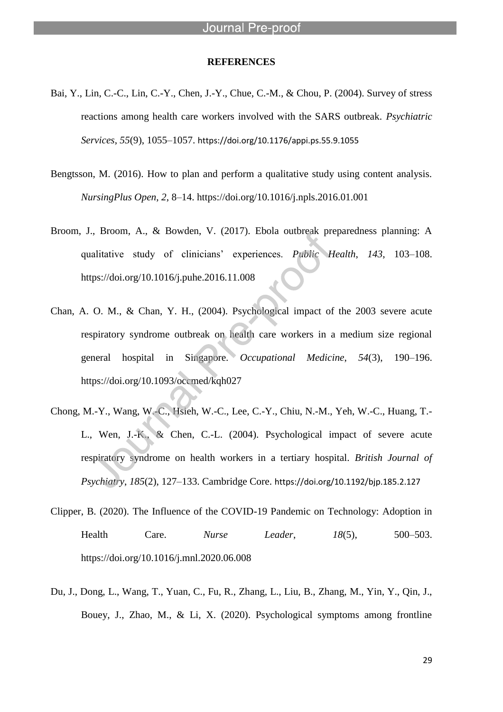#### **REFERENCES**

l

- Bai, Y., Lin, C.-C., Lin, C.-Y., Chen, J.-Y., Chue, C.-M., & Chou, P. (2004). Survey of stress reactions among health care workers involved with the SARS outbreak. *Psychiatric Services*, *55*(9), 1055–1057. https://doi.org/10.1176/appi.ps.55.9.1055
- Bengtsson, M. (2016). How to plan and perform a qualitative study using content analysis. *NursingPlus Open*, *2*, 8–14. https://doi.org/10.1016/j.npls.2016.01.001
- Broom, J., Broom, A., & Bowden, V. (2017). Ebola outbreak preparedness planning: A qualitative study of clinicians' experiences. *Public Health*, *143*, 103–108. https://doi.org/10.1016/j.puhe.2016.11.008
- Chan, A. O. M., & Chan, Y. H., (2004). Psychological impact of the 2003 severe acute respiratory syndrome outbreak on health care workers in a medium size regional general hospital in Singapore. *Occupational Medicine*, *54*(3), 190–196. https://doi.org/10.1093/occmed/kqh027
- Chong, M.-Y., Wang, W.-C., Hsieh, W.-C., Lee, C.-Y., Chiu, N.-M., Yeh, W.-C., Huang, T.- L., Wen, J.-K., & Chen, C.-L. (2004). Psychological impact of severe acute respiratory syndrome on health workers in a tertiary hospital. *British Journal of Psychiatry*, *185*(2), 127–133. Cambridge Core. https://doi.org/10.1192/bjp.185.2.127
- Clipper, B. (2020). The Influence of the COVID-19 Pandemic on Technology: Adoption in Health Care. *Nurse Leader*, *18*(5), 500–503. https://doi.org/10.1016/j.mnl.2020.06.008
- Du, J., Dong, L., Wang, T., Yuan, C., Fu, R., Zhang, L., Liu, B., Zhang, M., Yin, Y., Qin, J., Bouey, J., Zhao, M., & Li, X. (2020). Psychological symptoms among frontline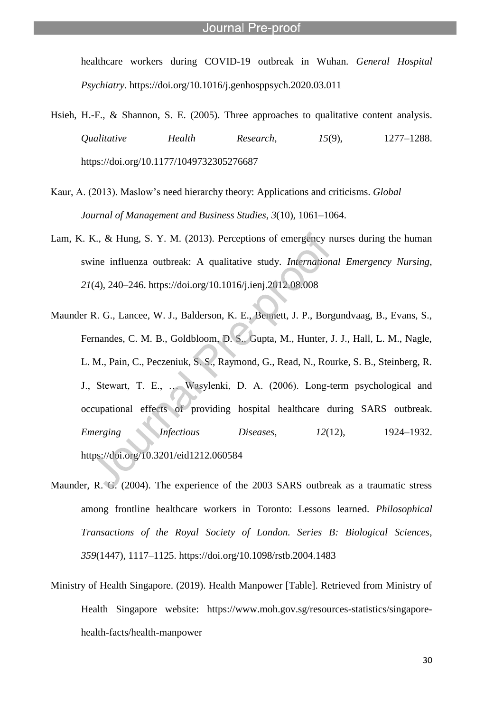healthcare workers during COVID-19 outbreak in Wuhan. *General Hospital Psychiatry*. https://doi.org/10.1016/j.genhosppsych.2020.03.011

- Hsieh, H.-F., & Shannon, S. E. (2005). Three approaches to qualitative content analysis. *Qualitative Health Research*, *15*(9), 1277–1288. https://doi.org/10.1177/1049732305276687
- Kaur, A. (2013). Maslow's need hierarchy theory: Applications and criticisms. *Global Journal of Management and Business Studies*, *3*(10), 1061–1064.
- Lam, K. K., & Hung, S. Y. M. (2013). Perceptions of emergency nurses during the human swine influenza outbreak: A qualitative study. *International Emergency Nursing*, *21*(4), 240–246. https://doi.org/10.1016/j.ienj.2012.08.008
- Maunder R. G., Lancee, W. J., Balderson, K. E., Bennett, J. P., Borgundvaag, B., Evans, S., Fernandes, C. M. B., Goldbloom, D. S., Gupta, M., Hunter, J. J., Hall, L. M., Nagle, L. M., Pain, C., Peczeniuk, S. S., Raymond, G., Read, N., Rourke, S. B., Steinberg, R. J., Stewart, T. E., … Wasylenki, D. A. (2006). Long-term psychological and occupational effects of providing hospital healthcare during SARS outbreak. *Emerging Infectious Diseases, 12(12),* 1924–1932. https://doi.org/10.3201/eid1212.060584
- Maunder, R. G. (2004). The experience of the 2003 SARS outbreak as a traumatic stress among frontline healthcare workers in Toronto: Lessons learned. *Philosophical Transactions of the Royal Society of London. Series B: Biological Sciences*, *359*(1447), 1117–1125. https://doi.org/10.1098/rstb.2004.1483
- Ministry of Health Singapore. (2019). Health Manpower [Table]. Retrieved from Ministry of Health Singapore website: https://www.moh.gov.sg/resources-statistics/singaporehealth-facts/health-manpower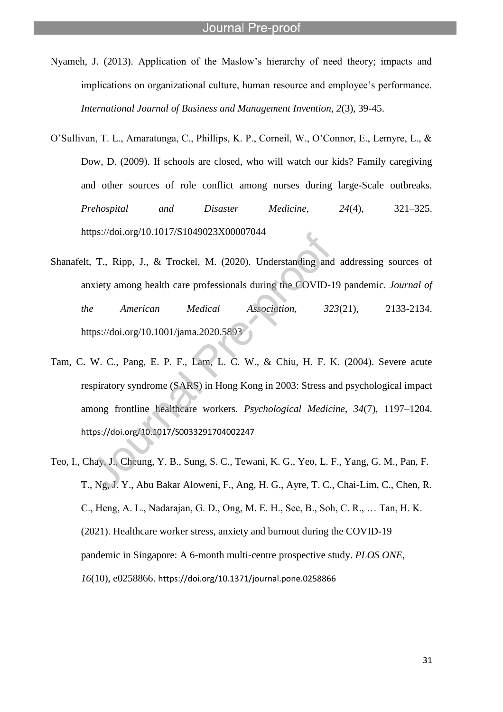Nyameh, J. (2013). Application of the Maslow's hierarchy of need theory; impacts and implications on organizational culture, human resource and employee's performance. *International Journal of Business and Management Invention, 2*(3), 39-45.

l

- O'Sullivan, T. L., Amaratunga, C., Phillips, K. P., Corneil, W., O'Connor, E., Lemyre, L., & Dow, D. (2009). If schools are closed, who will watch our kids? Family caregiving and other sources of role conflict among nurses during large-Scale outbreaks. *Prehospital and Disaster Medicine*, *24*(4), 321–325. https://doi.org/10.1017/S1049023X00007044
- Shanafelt, T., Ripp, J., & Trockel, M. (2020). Understanding and addressing sources of anxiety among health care professionals during the COVID-19 pandemic. *Journal of the American Medical Association, 323*(21), 2133-2134. https://doi.org/10.1001/jama.2020.5893
- Tam, C. W. C., Pang, E. P. F., Lam, L. C. W., & Chiu, H. F. K. (2004). Severe acute respiratory syndrome (SARS) in Hong Kong in 2003: Stress and psychological impact among frontline healthcare workers. *Psychological Medicine*, *34*(7), 1197–1204. https://doi.org/10.1017/S0033291704002247
- Teo, I., Chay, J., Cheung, Y. B., Sung, S. C., Tewani, K. G., Yeo, L. F., Yang, G. M., Pan, F. T., Ng, J. Y., Abu Bakar Aloweni, F., Ang, H. G., Ayre, T. C., Chai-Lim, C., Chen, R. C., Heng, A. L., Nadarajan, G. D., Ong, M. E. H., See, B., Soh, C. R., … Tan, H. K. (2021). Healthcare worker stress, anxiety and burnout during the COVID-19 pandemic in Singapore: A 6-month multi-centre prospective study. *PLOS ONE*, *16*(10), e0258866. https://doi.org/10.1371/journal.pone.0258866